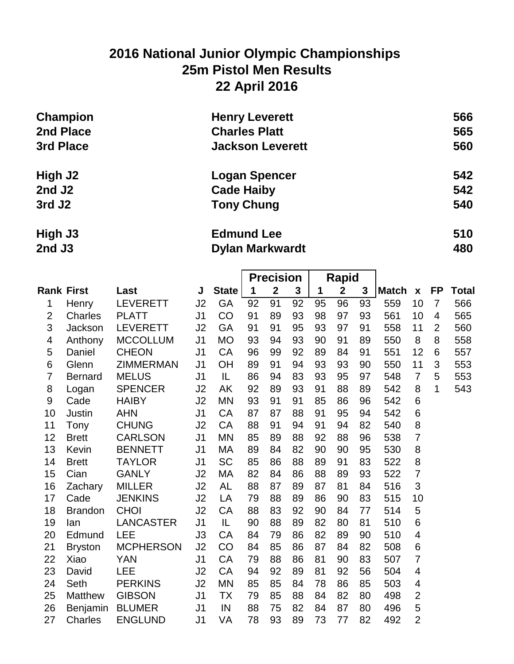# **2016 National Junior Olympic Championships 25m Pistol Men Results 22 April 2016**

| Champion           | <b>Henry Leverett</b>   | 566 |
|--------------------|-------------------------|-----|
| 2nd Place          | <b>Charles Platt</b>    | 565 |
| 3rd Place          | <b>Jackson Leverett</b> | 560 |
| High J2            | <b>Logan Spencer</b>    | 542 |
| 2nd J <sub>2</sub> | <b>Cade Haiby</b>       | 542 |
| 3rd J <sub>2</sub> | <b>Tony Chung</b>       | 540 |
| High J3            | <b>Edmund Lee</b>       | 510 |

**2nd J3 Dylan Markwardt 480**

|                |                   |                  |                |               | <b>Precision</b> |                  | <b>Rapid</b> |    |              |              |              |                           |                |              |
|----------------|-------------------|------------------|----------------|---------------|------------------|------------------|--------------|----|--------------|--------------|--------------|---------------------------|----------------|--------------|
|                | <b>Rank First</b> | Last             | J              | State         | 1                | $\boldsymbol{2}$ | $\mathbf{3}$ | 1  | $\mathbf{2}$ | $\mathbf{3}$ | <b>Match</b> | $\boldsymbol{\mathsf{X}}$ | <b>FP</b>      | <b>Total</b> |
| 1              | Henry             | <b>LEVERETT</b>  | J2             | GA            | 92               | 91               | 92           | 95 | 96           | 93           | 559          | 10                        | $\overline{7}$ | 566          |
| $\overline{2}$ | Charles           | <b>PLATT</b>     | J <sub>1</sub> | CO            | 91               | 89               | 93           | 98 | 97           | 93           | 561          | 10                        | 4              | 565          |
| 3              | Jackson           | <b>LEVERETT</b>  | J2             | GA            | 91               | 91               | 95           | 93 | 97           | 91           | 558          | 11                        | $\overline{2}$ | 560          |
| 4              | Anthony           | <b>MCCOLLUM</b>  | J <sub>1</sub> | <b>MO</b>     | 93               | 94               | 93           | 90 | 91           | 89           | 550          | 8                         | 8              | 558          |
| 5              | Daniel            | <b>CHEON</b>     | J <sub>1</sub> | CA            | 96               | 99               | 92           | 89 | 84           | 91           | 551          | 12                        | 6              | 557          |
| 6              | Glenn             | <b>ZIMMERMAN</b> | J <sub>1</sub> | OH            | 89               | 91               | 94           | 93 | 93           | 90           | 550          | 11                        | 3              | 553          |
| $\overline{7}$ | <b>Bernard</b>    | <b>MELUS</b>     | J <sub>1</sub> | IL            | 86               | 94               | 83           | 93 | 95           | 97           | 548          | $\overline{7}$            | 5              | 553          |
| 8              | Logan             | <b>SPENCER</b>   | J2             | <b>AK</b>     | 92               | 89               | 93           | 91 | 88           | 89           | 542          | 8                         | $\mathbf{1}$   | 543          |
| $9\,$          | Cade              | <b>HAIBY</b>     | J2             | <b>MN</b>     | 93               | 91               | 91           | 85 | 86           | 96           | 542          | 6                         |                |              |
| 10             | Justin            | <b>AHN</b>       | J <sub>1</sub> | CA            | 87               | 87               | 88           | 91 | 95           | 94           | 542          | 6                         |                |              |
| 11             | Tony              | <b>CHUNG</b>     | J2             | CA            | 88               | 91               | 94           | 91 | 94           | 82           | 540          | 8                         |                |              |
| 12             | <b>Brett</b>      | <b>CARLSON</b>   | J <sub>1</sub> | <b>MN</b>     | 85               | 89               | 88           | 92 | 88           | 96           | 538          | $\overline{7}$            |                |              |
| 13             | Kevin             | <b>BENNETT</b>   | J <sub>1</sub> | <b>MA</b>     | 89               | 84               | 82           | 90 | 90           | 95           | 530          | 8                         |                |              |
| 14             | <b>Brett</b>      | <b>TAYLOR</b>    | J <sub>1</sub> | <b>SC</b>     | 85               | 86               | 88           | 89 | 91           | 83           | 522          | 8                         |                |              |
| 15             | Cian              | <b>GANLY</b>     | J2             | MA            | 82               | 84               | 86           | 88 | 89           | 93           | 522          | $\overline{7}$            |                |              |
| 16             | Zachary           | <b>MILLER</b>    | J2             | <b>AL</b>     | 88               | 87               | 89           | 87 | 81           | 84           | 516          | 3                         |                |              |
| 17             | Cade              | <b>JENKINS</b>   | J2             | LA            | 79               | 88               | 89           | 86 | 90           | 83           | 515          | 10                        |                |              |
| 18             | <b>Brandon</b>    | <b>CHOI</b>      | J2             | CA            | 88               | 83               | 92           | 90 | 84           | 77           | 514          | 5                         |                |              |
| 19             | lan               | <b>LANCASTER</b> | J <sub>1</sub> | $\mathsf{IL}$ | 90               | 88               | 89           | 82 | 80           | 81           | 510          | 6                         |                |              |
| 20             | Edmund            | <b>LEE</b>       | J3             | CA            | 84               | 79               | 86           | 82 | 89           | 90           | 510          | $\overline{4}$            |                |              |
| 21             | <b>Bryston</b>    | <b>MCPHERSON</b> | J2             | CO            | 84               | 85               | 86           | 87 | 84           | 82           | 508          | 6                         |                |              |
| 22             | Xiao              | <b>YAN</b>       | J <sub>1</sub> | CA            | 79               | 88               | 86           | 81 | 90           | 83           | 507          | $\overline{7}$            |                |              |
| 23             | David             | <b>LEE</b>       | J2             | CA            | 94               | 92               | 89           | 81 | 92           | 56           | 504          | $\overline{4}$            |                |              |
| 24             | Seth              | <b>PERKINS</b>   | J2             | <b>MN</b>     | 85               | 85               | 84           | 78 | 86           | 85           | 503          | $\overline{4}$            |                |              |
| 25             | <b>Matthew</b>    | <b>GIBSON</b>    | J <sub>1</sub> | <b>TX</b>     | 79               | 85               | 88           | 84 | 82           | 80           | 498          | $\overline{2}$            |                |              |
| 26             | Benjamin          | <b>BLUMER</b>    | J <sub>1</sub> | IN            | 88               | 75               | 82           | 84 | 87           | 80           | 496          | 5                         |                |              |
| 27             | <b>Charles</b>    | <b>ENGLUND</b>   | J <sub>1</sub> | VA            | 78               | 93               | 89           | 73 | 77           | 82           | 492          | $\overline{2}$            |                |              |
|                |                   |                  |                |               |                  |                  |              |    |              |              |              |                           |                |              |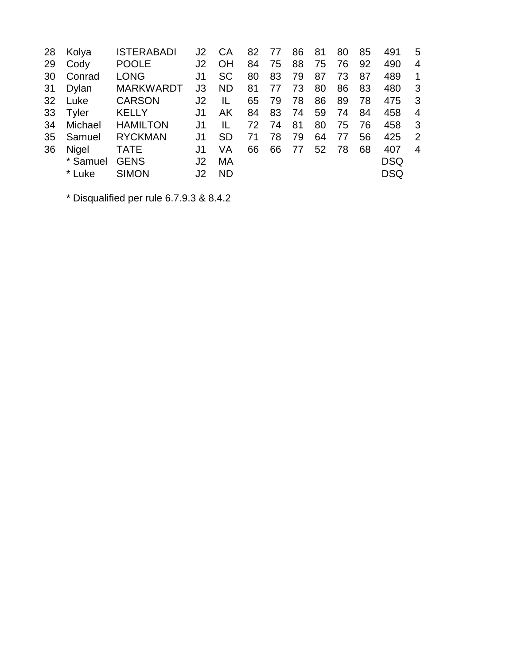| 28 | Kolya        | <b>ISTERABADI</b> | J2             | СA        | 82 | 77 | 86 | 81 | 80 | 85 | 491        | 5              |
|----|--------------|-------------------|----------------|-----------|----|----|----|----|----|----|------------|----------------|
| 29 | Cody         | <b>POOLE</b>      | J2             | OH        | 84 | 75 | 88 | 75 | 76 | 92 | 490        | 4              |
| 30 | Conrad       | <b>LONG</b>       | J1             | <b>SC</b> | 80 | 83 | 79 | 87 | 73 | 87 | 489        | 1              |
| 31 | Dylan        | <b>MARKWARDT</b>  | J3             | <b>ND</b> | 81 | 77 | 73 | 80 | 86 | 83 | 480        | 3              |
| 32 | Luke         | <b>CARSON</b>     | J <sub>2</sub> | IL        | 65 | 79 | 78 | 86 | 89 | 78 | 475        | 3              |
| 33 | Tyler        | <b>KELLY</b>      | J1             | AK        | 84 | 83 | 74 | 59 | 74 | 84 | 458        | $\overline{4}$ |
| 34 | Michael      | <b>HAMILTON</b>   | J1             | IL        | 72 | 74 | 81 | 80 | 75 | 76 | 458        | -3             |
| 35 | Samuel       | <b>RYCKMAN</b>    | J1             | <b>SD</b> | 71 | 78 | 79 | 64 | 77 | 56 | 425        | $\overline{2}$ |
| 36 | <b>Nigel</b> | <b>TATE</b>       | J1             | VA        | 66 | 66 | 77 | 52 | 78 | 68 | 407        | $\overline{4}$ |
|    | * Samuel     | <b>GENS</b>       | J2             | МA        |    |    |    |    |    |    | <b>DSQ</b> |                |
|    | * Luke       | <b>SIMON</b>      | J2             | <b>ND</b> |    |    |    |    |    |    | <b>DSQ</b> |                |
|    |              |                   |                |           |    |    |    |    |    |    |            |                |

\* Disqualified per rule 6.7.9.3 & 8.4.2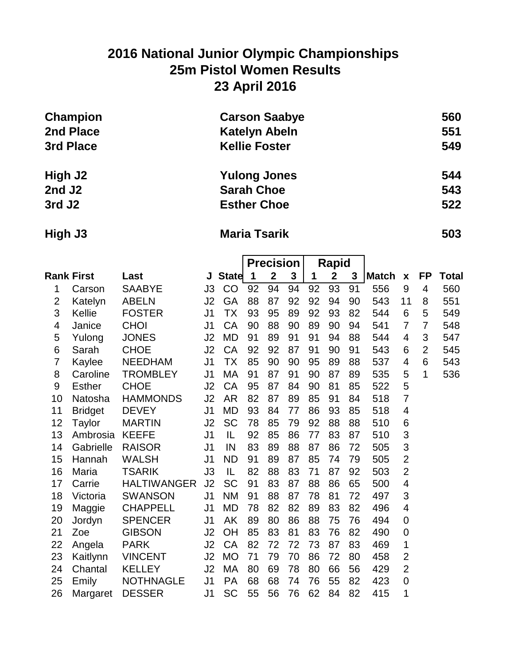# **2016 National Junior Olympic Championships 25m Pistol Women Results 23 April 2016**

| Champion           | <b>Carson Saabye</b> | 560 |
|--------------------|----------------------|-----|
| 2nd Place          | <b>Katelyn Abeln</b> | 551 |
| 3rd Place          | <b>Kellie Foster</b> | 549 |
| High J2            | <b>Yulong Jones</b>  | 544 |
| 2nd J <sub>2</sub> | <b>Sarah Choe</b>    | 543 |
| 3rd J <sub>2</sub> | <b>Esther Choe</b>   | 522 |

### **High J3 Maria Tsarik 503**

|                   |                |                    |                |              | <b>Precision</b> |              | Rapid        |    |              |    |       |                |                |       |
|-------------------|----------------|--------------------|----------------|--------------|------------------|--------------|--------------|----|--------------|----|-------|----------------|----------------|-------|
| <b>Rank First</b> |                | Last               | J              | <b>State</b> | 1                | $\mathbf{2}$ | $\mathbf{3}$ | 1  | $\mathbf{2}$ | 3  | Match | $\pmb{\chi}$   | <b>FP</b>      | Total |
| 1                 | Carson         | <b>SAABYE</b>      | J3             | CO           | 92               | 94           | 94           | 92 | 93           | 91 | 556   | 9              | 4              | 560   |
| $\overline{2}$    | Katelyn        | <b>ABELN</b>       | J2             | GA           | 88               | 87           | 92           | 92 | 94           | 90 | 543   | 11             | 8              | 551   |
| 3                 | Kellie         | <b>FOSTER</b>      | J <sub>1</sub> | ТX           | 93               | 95           | 89           | 92 | 93           | 82 | 544   | 6              | 5              | 549   |
| 4                 | Janice         | <b>CHOI</b>        | J <sub>1</sub> | CA           | 90               | 88           | 90           | 89 | 90           | 94 | 541   | $\overline{7}$ | $\overline{7}$ | 548   |
| 5                 | Yulong         | <b>JONES</b>       | J2             | <b>MD</b>    | 91               | 89           | 91           | 91 | 94           | 88 | 544   | 4              | 3              | 547   |
| 6                 | Sarah          | <b>CHOE</b>        | J2             | CA           | 92               | 92           | 87           | 91 | 90           | 91 | 543   | 6              | $\overline{2}$ | 545   |
| $\overline{7}$    | Kaylee         | <b>NEEDHAM</b>     | J <sub>1</sub> | <b>TX</b>    | 85               | 90           | 90           | 95 | 89           | 88 | 537   | 4              | 6              | 543   |
| 8                 | Caroline       | <b>TROMBLEY</b>    | J <sub>1</sub> | МA           | 91               | 87           | 91           | 90 | 87           | 89 | 535   | 5              | 1              | 536   |
| 9                 | <b>Esther</b>  | <b>CHOE</b>        | J <sub>2</sub> | CA           | 95               | 87           | 84           | 90 | 81           | 85 | 522   | 5              |                |       |
| 10                | Natosha        | <b>HAMMONDS</b>    | J2             | <b>AR</b>    | 82               | 87           | 89           | 85 | 91           | 84 | 518   | $\overline{7}$ |                |       |
| 11                | <b>Bridget</b> | <b>DEVEY</b>       | J <sub>1</sub> | <b>MD</b>    | 93               | 84           | 77           | 86 | 93           | 85 | 518   | 4              |                |       |
| 12                | Taylor         | <b>MARTIN</b>      | J2             | SC           | 78               | 85           | 79           | 92 | 88           | 88 | 510   | 6              |                |       |
| 13                | Ambrosia       | <b>KEEFE</b>       | J <sub>1</sub> | IL           | 92               | 85           | 86           | 77 | 83           | 87 | 510   | 3              |                |       |
| 14                | Gabrielle      | <b>RAISOR</b>      | J <sub>1</sub> | IN           | 83               | 89           | 88           | 87 | 86           | 72 | 505   | 3              |                |       |
| 15                | Hannah         | <b>WALSH</b>       | J <sub>1</sub> | <b>ND</b>    | 91               | 89           | 87           | 85 | 74           | 79 | 505   | $\overline{2}$ |                |       |
| 16                | Maria          | <b>TSARIK</b>      | J3             | IL           | 82               | 88           | 83           | 71 | 87           | 92 | 503   | $\overline{2}$ |                |       |
| 17                | Carrie         | <b>HALTIWANGER</b> | J2             | <b>SC</b>    | 91               | 83           | 87           | 88 | 86           | 65 | 500   | 4              |                |       |
| 18                | Victoria       | <b>SWANSON</b>     | J <sub>1</sub> | <b>NM</b>    | 91               | 88           | 87           | 78 | 81           | 72 | 497   | 3              |                |       |
| 19                | Maggie         | <b>CHAPPELL</b>    | J <sub>1</sub> | <b>MD</b>    | 78               | 82           | 82           | 89 | 83           | 82 | 496   | 4              |                |       |
| 20                | Jordyn         | <b>SPENCER</b>     | J <sub>1</sub> | AK           | 89               | 80           | 86           | 88 | 75           | 76 | 494   | 0              |                |       |
| 21                | Zoe            | <b>GIBSON</b>      | J2             | OH           | 85               | 83           | 81           | 83 | 76           | 82 | 490   | $\mathbf 0$    |                |       |
| 22                | Angela         | <b>PARK</b>        | J2             | CA           | 82               | 72           | 72           | 73 | 87           | 83 | 469   | 1              |                |       |
| 23                | Kaitlynn       | <b>VINCENT</b>     | J <sub>2</sub> | <b>MO</b>    | 71               | 79           | 70           | 86 | 72           | 80 | 458   | 2              |                |       |
| 24                | Chantal        | <b>KELLEY</b>      | J2             | MA           | 80               | 69           | 78           | 80 | 66           | 56 | 429   | $\overline{2}$ |                |       |
| 25                | Emily          | <b>NOTHNAGLE</b>   | J <sub>1</sub> | <b>PA</b>    | 68               | 68           | 74           | 76 | 55           | 82 | 423   | 0              |                |       |
| 26                | Margaret       | <b>DESSER</b>      | J <sub>1</sub> | <b>SC</b>    | 55               | 56           | 76           | 62 | 84           | 82 | 415   | 1              |                |       |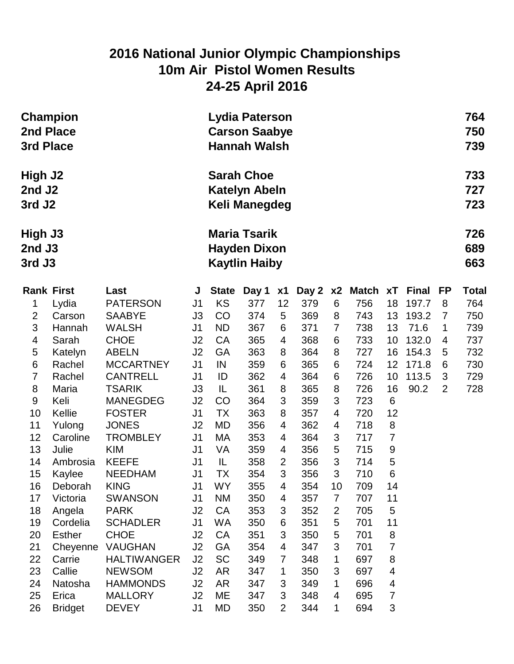### **2016 National Junior Olympic Championships 10m Air Pistol Women Results 24-25 April 2016**

| <b>Champion</b><br>2nd Place<br>3rd Place |                           |                                |                                                                    | Lydia Paterson<br><b>Carson Saabye</b><br><b>Hannah Walsh</b> |            |                     |            |                |                |                         |              |                |              |  |  |
|-------------------------------------------|---------------------------|--------------------------------|--------------------------------------------------------------------|---------------------------------------------------------------|------------|---------------------|------------|----------------|----------------|-------------------------|--------------|----------------|--------------|--|--|
| High J2<br>2nd J2<br>3rd J <sub>2</sub>   |                           |                                |                                                                    | <b>Sarah Choe</b><br><b>Katelyn Abeln</b><br>Keli Manegdeg    |            |                     |            |                |                |                         |              |                |              |  |  |
| High J3<br>2nd J3<br>3rd J3               |                           |                                | <b>Maria Tsarik</b><br><b>Hayden Dixon</b><br><b>Kaytlin Haiby</b> |                                                               |            |                     |            |                |                |                         |              |                |              |  |  |
| <b>Rank First</b>                         |                           | Last                           | J                                                                  | <b>State</b>                                                  | Day 1      | x1                  |            |                | Day 2 x2 Match | xT                      | <b>Final</b> | FP             | <b>Total</b> |  |  |
| 1                                         | Lydia                     | <b>PATERSON</b>                | J <sub>1</sub>                                                     | KS                                                            | 377        | 12                  | 379        | 6              | 756            | 18                      | 197.7        | 8              | 764          |  |  |
| $\overline{2}$                            | Carson                    | <b>SAABYE</b>                  | J3                                                                 | CO                                                            | 374        | 5                   | 369        | 8              | 743            | 13                      | 193.2        | $\overline{7}$ | 750          |  |  |
| $\mathfrak{S}$                            | Hannah                    | <b>WALSH</b>                   | J <sub>1</sub>                                                     | <b>ND</b>                                                     | 367        | 6                   | 371        | $\overline{7}$ | 738            | 13                      | 71.6         | 1              | 739          |  |  |
| 4                                         | Sarah                     | <b>CHOE</b>                    | J2                                                                 | CA                                                            | 365        | 4                   | 368        | 6              | 733            | 10                      | 132.0        | 4              | 737          |  |  |
| 5                                         | Katelyn                   | <b>ABELN</b>                   | J2                                                                 | GA                                                            | 363        | 8                   | 364        | 8              | 727            | 16                      | 154.3        | 5              | 732          |  |  |
| $\,6$                                     | Rachel                    | <b>MCCARTNEY</b>               | J <sub>1</sub>                                                     | IN                                                            | 359        | 6                   | 365        | 6              | 724            | 12                      | 171.8        | 6              | 730          |  |  |
| $\overline{7}$                            | Rachel                    | <b>CANTRELL</b>                | J <sub>1</sub>                                                     | ID                                                            | 362        | 4                   | 364        | 6              | 726            | 10                      | 113.5        | 3              | 729          |  |  |
| 8                                         | Maria                     | <b>TSARIK</b>                  | J3                                                                 | IL                                                            | 361        | 8                   | 365        | 8              | 726            | 16                      | 90.2         | $\overline{2}$ | 728          |  |  |
| 9                                         | Keli                      | <b>MANEGDEG</b>                | J2                                                                 | CO                                                            | 364        | 3                   | 359        | 3              | 723            | $6\phantom{1}6$         |              |                |              |  |  |
| 10                                        | Kellie                    | <b>FOSTER</b>                  | J <sub>1</sub>                                                     | <b>TX</b>                                                     | 363        | 8                   | 357        | 4              | 720            | 12                      |              |                |              |  |  |
| 11                                        | Yulong                    | <b>JONES</b>                   | J2                                                                 | MD                                                            | 356        | 4                   | 362        | 4              | 718            | 8                       |              |                |              |  |  |
| 12                                        | Caroline                  | <b>TROMBLEY</b>                | J <sub>1</sub>                                                     | MA                                                            | 353        | 4                   | 364        | 3              | 717            | $\overline{7}$          |              |                |              |  |  |
| 13                                        | Julie                     | <b>KIM</b>                     | J <sub>1</sub>                                                     | VA                                                            | 359        | 4                   | 356        | 5              | 715            | 9                       |              |                |              |  |  |
| 14                                        | Ambrosia                  | <b>KEEFE</b>                   | J <sub>1</sub>                                                     | IL                                                            | 358        | $\overline{2}$      | 356        | 3              | 714            | 5                       |              |                |              |  |  |
| 15                                        | Kaylee                    | <b>NEEDHAM</b>                 | J <sub>1</sub>                                                     | ТX                                                            | 354        | 3                   | 356        | 3              | 710            | 6                       |              |                |              |  |  |
| 16                                        | Deborah                   | <b>KING</b>                    | J1                                                                 | WY                                                            | 355        | 4                   | 354        | 10             | 709            | 14                      |              |                |              |  |  |
| 17                                        | Victoria                  | <b>SWANSON</b>                 | J <sub>1</sub>                                                     | <b>NM</b>                                                     | 350        | 4                   | 357        | 7              | 707            | 11                      |              |                |              |  |  |
| 18                                        | Angela                    | <b>PARK</b><br><b>SCHADLER</b> | J <sub>2</sub><br>J <sub>1</sub>                                   | <b>CA</b><br><b>WA</b>                                        | 353<br>350 | 3                   | 352<br>351 | $\overline{2}$ | 705<br>701     | 5<br>11                 |              |                |              |  |  |
| 19                                        | Cordelia<br><b>Esther</b> | <b>CHOE</b>                    | J2                                                                 | CA                                                            | 351        | 6<br>$\mathfrak{B}$ | 350        | 5              | 701            | $\bf 8$                 |              |                |              |  |  |
| 20<br>21                                  | Cheyenne                  | <b>VAUGHAN</b>                 | J2                                                                 | GA                                                            | 354        | $\overline{4}$      | 347        | 5<br>3         | 701            | $\overline{7}$          |              |                |              |  |  |
| 22                                        | Carrie                    | <b>HALTIWANGER</b>             | J2                                                                 | <b>SC</b>                                                     | 349        | $\overline{7}$      | 348        | 1              | 697            | $\,8\,$                 |              |                |              |  |  |
| 23                                        | Callie                    | <b>NEWSOM</b>                  | J2                                                                 | <b>AR</b>                                                     | 347        | 1                   | 350        | 3              | 697            | $\overline{\mathbf{4}}$ |              |                |              |  |  |
| 24                                        | Natosha                   | <b>HAMMONDS</b>                | J2                                                                 | <b>AR</b>                                                     | 347        | 3                   | 349        | 1              | 696            | $\overline{\mathbf{4}}$ |              |                |              |  |  |
| 25                                        | Erica                     | <b>MALLORY</b>                 | J <sub>2</sub>                                                     | ME                                                            | 347        | $\mathfrak{B}$      | 348        | 4              | 695            | 7                       |              |                |              |  |  |
| 26                                        | <b>Bridget</b>            | <b>DEVEY</b>                   | J <sub>1</sub>                                                     | <b>MD</b>                                                     | 350        | 2                   | 344        | 1              | 694            | 3                       |              |                |              |  |  |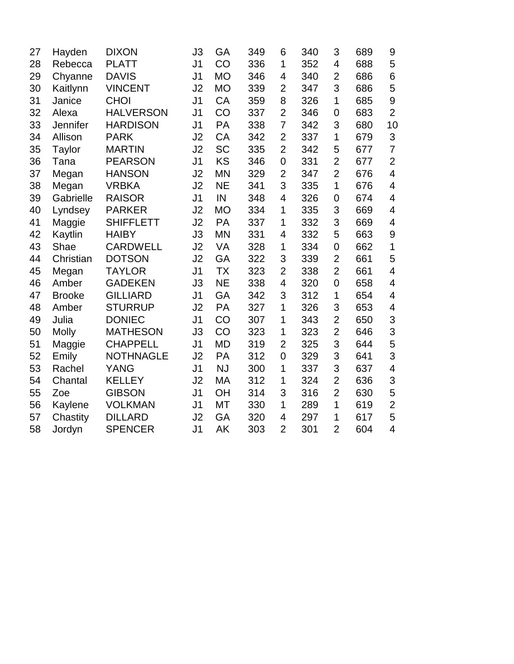|               |                  | J3             | GA        | 349 | 6              | 340 | 3              | 689 | 9                        |
|---------------|------------------|----------------|-----------|-----|----------------|-----|----------------|-----|--------------------------|
|               | <b>PLATT</b>     | J <sub>1</sub> | CO        | 336 | 1              | 352 | 4              | 688 | 5                        |
| Chyanne       | <b>DAVIS</b>     | J <sub>1</sub> | <b>MO</b> | 346 | 4              | 340 | $\overline{2}$ | 686 | $\,$ 6 $\,$              |
| Kaitlynn      | <b>VINCENT</b>   | J2             | <b>MO</b> | 339 | $\overline{2}$ | 347 | 3              | 686 | 5                        |
| Janice        | <b>CHOI</b>      | J <sub>1</sub> | CA        | 359 | 8              | 326 | 1              | 685 | $\boldsymbol{9}$         |
| Alexa         | <b>HALVERSON</b> | J <sub>1</sub> | CO        | 337 | $\overline{2}$ | 346 | 0              | 683 | $\overline{2}$           |
| Jennifer      | <b>HARDISON</b>  | J <sub>1</sub> | PA        | 338 | $\overline{7}$ | 342 | 3              | 680 | 10                       |
| Allison       | <b>PARK</b>      | J2             | CA        | 342 | $\overline{2}$ | 337 | 1              | 679 | 3                        |
| <b>Taylor</b> | <b>MARTIN</b>    | J2             | <b>SC</b> | 335 | $\overline{2}$ | 342 | 5              | 677 | $\overline{7}$           |
| Tana          | <b>PEARSON</b>   | J <sub>1</sub> | KS        | 346 | $\mathbf 0$    | 331 | $\overline{2}$ | 677 | $\overline{2}$           |
| Megan         | <b>HANSON</b>    | J2             | <b>MN</b> | 329 | $\overline{2}$ | 347 | $\overline{2}$ | 676 | $\overline{\mathbf{4}}$  |
| Megan         | <b>VRBKA</b>     | J2             | <b>NE</b> | 341 | 3              | 335 | 1              | 676 | $\overline{\mathbf{4}}$  |
| Gabrielle     | <b>RAISOR</b>    | J <sub>1</sub> | IN        | 348 | 4              | 326 | 0              | 674 | $\overline{\mathcal{A}}$ |
| Lyndsey       | <b>PARKER</b>    | J2             | <b>MO</b> | 334 | 1              | 335 | 3              | 669 | $\overline{\mathbf{4}}$  |
| Maggie        | <b>SHIFFLETT</b> | J2             | PA        | 337 | 1              | 332 | 3              | 669 | $\overline{\mathcal{A}}$ |
| Kaytlin       | <b>HAIBY</b>     | J3             | <b>MN</b> | 331 | $\overline{4}$ | 332 | 5              | 663 | 9                        |
| Shae          | <b>CARDWELL</b>  | J2             | VA        | 328 | 1              | 334 | 0              | 662 | 1                        |
| Christian     | <b>DOTSON</b>    | J2             | GA        | 322 | 3              | 339 | $\overline{2}$ | 661 | 5                        |
| Megan         | <b>TAYLOR</b>    | J <sub>1</sub> | <b>TX</b> | 323 | $\overline{2}$ | 338 | $\overline{2}$ | 661 | $\overline{\mathcal{A}}$ |
| Amber         | <b>GADEKEN</b>   | J3             | <b>NE</b> | 338 | 4              | 320 | 0              | 658 | $\overline{\mathbf{4}}$  |
| <b>Brooke</b> | <b>GILLIARD</b>  | J <sub>1</sub> | GA        | 342 | 3              | 312 | 1              | 654 | $\overline{\mathcal{A}}$ |
| Amber         | <b>STURRUP</b>   | J2             | PA        | 327 | 1              | 326 | 3              | 653 | 4                        |
| Julia         | <b>DONIEC</b>    | J <sub>1</sub> | CO        | 307 | 1              | 343 | $\overline{2}$ | 650 | 3                        |
| <b>Molly</b>  | <b>MATHESON</b>  | J3             | CO        | 323 | 1              | 323 | $\overline{2}$ | 646 | 3                        |
| Maggie        | <b>CHAPPELL</b>  | J <sub>1</sub> | <b>MD</b> | 319 | $\overline{2}$ | 325 | 3              | 644 | 5                        |
| Emily         | <b>NOTHNAGLE</b> | J2             | PA        | 312 | 0              | 329 | 3              | 641 | 3                        |
| Rachel        | YANG             | J <sub>1</sub> | <b>NJ</b> | 300 | 1              | 337 | 3              | 637 | 4                        |
| Chantal       | <b>KELLEY</b>    | J2             | <b>MA</b> | 312 | 1              | 324 | $\overline{2}$ | 636 | 3                        |
| Zoe           | <b>GIBSON</b>    | J <sub>1</sub> | OH        | 314 | 3              | 316 | $\overline{2}$ | 630 | 5                        |
| Kaylene       | <b>VOLKMAN</b>   | J <sub>1</sub> | <b>MT</b> | 330 | 1              | 289 | $\mathbf 1$    | 619 | $\overline{2}$           |
| Chastity      | <b>DILLARD</b>   | J2             | GA        | 320 | 4              | 297 | 1              | 617 | 5                        |
| Jordyn        | <b>SPENCER</b>   | J <sub>1</sub> | AK        | 303 | $\overline{2}$ | 301 | $\overline{2}$ | 604 | $\overline{\mathbf{4}}$  |
|               | Rebecca          |                |           |     |                |     |                |     |                          |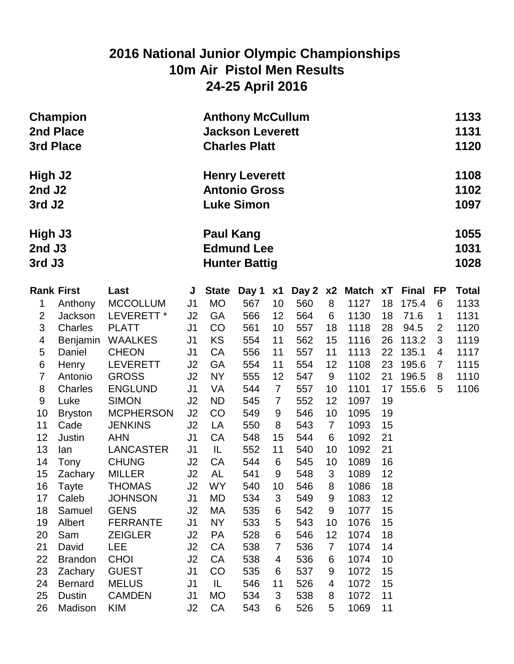### **2016 National Junior Olympic Championships 10m Air Pistol Men Results 24-25 April 2016**

| 1108<br>High J2<br><b>Henry Leverett</b><br><b>Antonio Gross</b><br>2nd J <sub>2</sub><br>1102<br><b>Luke Simon</b><br>3rd J <sub>2</sub><br>1097<br><b>Paul Kang</b><br>1055<br>High J3<br><b>Edmund Lee</b><br>1031<br>2nd J3<br>3rd J3<br>1028<br><b>Hunter Battig</b><br><b>Rank First</b><br><b>Final</b><br><b>State</b><br>Day 2<br>Match<br>xT<br>FP<br><b>Total</b><br>Last<br>Day 1<br>x1<br>x2<br>J<br><b>MO</b><br>560<br>1127<br>1<br><b>MCCOLLUM</b><br>567<br>10<br>8<br>175.4<br>$6\phantom{1}6$<br>1133<br>Anthony<br>J <sub>1</sub><br>18<br>$\overline{2}$<br>LEVERETT <sup>*</sup><br>J2<br><b>GA</b><br>566<br>564<br>1130<br>71.6<br>1131<br>Jackson<br>12<br>6<br>18<br>1<br>3<br>CO<br>Charles<br><b>PLATT</b><br>J <sub>1</sub><br>561<br>10<br>557<br>18<br>1118<br>28<br>94.5<br>$\overline{2}$<br>1120<br>$\overline{\mathbf{4}}$<br><b>KS</b><br>3<br><b>WAALKES</b><br>J <sub>1</sub><br>562<br>15<br>1116<br>113.2<br>1119<br>Benjamin<br>554<br>11<br>26<br>5<br>CA<br>135.1<br><b>CHEON</b><br>556<br>11<br>557<br>11<br>1113<br>22<br>1117<br>Daniel<br>J1<br>4<br>$\,6$<br>J2<br>GA<br>554<br>1108<br>23<br>195.6<br><b>LEVERETT</b><br>554<br>11<br>12<br>1115<br>Henry<br>7<br>$\overline{7}$<br><b>GROSS</b><br><b>NY</b><br>555<br>547<br>1102<br>196.5<br>1110<br>Antonio<br>J2<br>12<br>9<br>21<br>8<br>8<br>10<br>Charles<br><b>ENGLUND</b><br>J <sub>1</sub><br>VA<br>544<br>1101<br>17<br>1106<br>$\overline{7}$<br>557<br>155.6<br>5<br>$9$<br><b>SIMON</b><br>Luke<br>J <sub>2</sub><br><b>ND</b><br>545<br>552<br>12<br>1097<br>19<br>$\overline{7}$<br>10<br><b>MCPHERSON</b><br>J2<br>CO<br>546<br>10<br>1095<br>19<br>549<br>9<br><b>Bryston</b><br>11<br><b>JENKINS</b><br>J2<br>550<br>543<br>$\overline{7}$<br>15<br>Cade<br>LA<br>8<br>1093<br>12<br><b>CA</b><br>548<br>6<br>1092<br>21<br>Justin<br>J <sub>1</sub><br>15<br>544<br><b>AHN</b><br>13<br>21<br>IL<br>552<br>540<br>10<br>1092<br>LANCASTER<br>J <sub>1</sub><br>11<br>lan<br>14<br><b>CHUNG</b><br><b>CA</b><br>10<br>J2<br>544<br>6<br>545<br>1089<br>16<br>Tony<br><b>AL</b><br>3<br>15<br><b>MILLER</b><br>J <sub>2</sub><br>9<br>548<br>1089<br>12<br>Zachary<br>541<br>J2<br><b>WY</b><br>16<br><b>THOMAS</b><br>540<br>10<br>546<br>8<br>1086<br>18<br><b>Tayte</b><br><b>JOHNSON</b><br>J <sub>1</sub><br>MD<br>534<br>549<br>1083<br>12<br>17<br>Caleb<br>3<br>9<br><b>GENS</b><br>МA<br>535<br>542<br>18<br>Samuel<br>J <sub>2</sub><br>9<br>1077<br>15<br>6<br><b>NY</b> | 1133<br>1131<br>1120 |  |
|----------------------------------------------------------------------------------------------------------------------------------------------------------------------------------------------------------------------------------------------------------------------------------------------------------------------------------------------------------------------------------------------------------------------------------------------------------------------------------------------------------------------------------------------------------------------------------------------------------------------------------------------------------------------------------------------------------------------------------------------------------------------------------------------------------------------------------------------------------------------------------------------------------------------------------------------------------------------------------------------------------------------------------------------------------------------------------------------------------------------------------------------------------------------------------------------------------------------------------------------------------------------------------------------------------------------------------------------------------------------------------------------------------------------------------------------------------------------------------------------------------------------------------------------------------------------------------------------------------------------------------------------------------------------------------------------------------------------------------------------------------------------------------------------------------------------------------------------------------------------------------------------------------------------------------------------------------------------------------------------------------------------------------------------------------------------------------------------------------------------------------------------------------------------------------------------------------------------------------------------------------------------------------------------------------------------------------------------------------------------------------------------------------------------------------------------------------------------------------------------------------|----------------------|--|
|                                                                                                                                                                                                                                                                                                                                                                                                                                                                                                                                                                                                                                                                                                                                                                                                                                                                                                                                                                                                                                                                                                                                                                                                                                                                                                                                                                                                                                                                                                                                                                                                                                                                                                                                                                                                                                                                                                                                                                                                                                                                                                                                                                                                                                                                                                                                                                                                                                                                                                          |                      |  |
|                                                                                                                                                                                                                                                                                                                                                                                                                                                                                                                                                                                                                                                                                                                                                                                                                                                                                                                                                                                                                                                                                                                                                                                                                                                                                                                                                                                                                                                                                                                                                                                                                                                                                                                                                                                                                                                                                                                                                                                                                                                                                                                                                                                                                                                                                                                                                                                                                                                                                                          |                      |  |
|                                                                                                                                                                                                                                                                                                                                                                                                                                                                                                                                                                                                                                                                                                                                                                                                                                                                                                                                                                                                                                                                                                                                                                                                                                                                                                                                                                                                                                                                                                                                                                                                                                                                                                                                                                                                                                                                                                                                                                                                                                                                                                                                                                                                                                                                                                                                                                                                                                                                                                          |                      |  |
|                                                                                                                                                                                                                                                                                                                                                                                                                                                                                                                                                                                                                                                                                                                                                                                                                                                                                                                                                                                                                                                                                                                                                                                                                                                                                                                                                                                                                                                                                                                                                                                                                                                                                                                                                                                                                                                                                                                                                                                                                                                                                                                                                                                                                                                                                                                                                                                                                                                                                                          |                      |  |
|                                                                                                                                                                                                                                                                                                                                                                                                                                                                                                                                                                                                                                                                                                                                                                                                                                                                                                                                                                                                                                                                                                                                                                                                                                                                                                                                                                                                                                                                                                                                                                                                                                                                                                                                                                                                                                                                                                                                                                                                                                                                                                                                                                                                                                                                                                                                                                                                                                                                                                          |                      |  |
|                                                                                                                                                                                                                                                                                                                                                                                                                                                                                                                                                                                                                                                                                                                                                                                                                                                                                                                                                                                                                                                                                                                                                                                                                                                                                                                                                                                                                                                                                                                                                                                                                                                                                                                                                                                                                                                                                                                                                                                                                                                                                                                                                                                                                                                                                                                                                                                                                                                                                                          |                      |  |
|                                                                                                                                                                                                                                                                                                                                                                                                                                                                                                                                                                                                                                                                                                                                                                                                                                                                                                                                                                                                                                                                                                                                                                                                                                                                                                                                                                                                                                                                                                                                                                                                                                                                                                                                                                                                                                                                                                                                                                                                                                                                                                                                                                                                                                                                                                                                                                                                                                                                                                          |                      |  |
|                                                                                                                                                                                                                                                                                                                                                                                                                                                                                                                                                                                                                                                                                                                                                                                                                                                                                                                                                                                                                                                                                                                                                                                                                                                                                                                                                                                                                                                                                                                                                                                                                                                                                                                                                                                                                                                                                                                                                                                                                                                                                                                                                                                                                                                                                                                                                                                                                                                                                                          |                      |  |
|                                                                                                                                                                                                                                                                                                                                                                                                                                                                                                                                                                                                                                                                                                                                                                                                                                                                                                                                                                                                                                                                                                                                                                                                                                                                                                                                                                                                                                                                                                                                                                                                                                                                                                                                                                                                                                                                                                                                                                                                                                                                                                                                                                                                                                                                                                                                                                                                                                                                                                          |                      |  |
|                                                                                                                                                                                                                                                                                                                                                                                                                                                                                                                                                                                                                                                                                                                                                                                                                                                                                                                                                                                                                                                                                                                                                                                                                                                                                                                                                                                                                                                                                                                                                                                                                                                                                                                                                                                                                                                                                                                                                                                                                                                                                                                                                                                                                                                                                                                                                                                                                                                                                                          |                      |  |
|                                                                                                                                                                                                                                                                                                                                                                                                                                                                                                                                                                                                                                                                                                                                                                                                                                                                                                                                                                                                                                                                                                                                                                                                                                                                                                                                                                                                                                                                                                                                                                                                                                                                                                                                                                                                                                                                                                                                                                                                                                                                                                                                                                                                                                                                                                                                                                                                                                                                                                          |                      |  |
|                                                                                                                                                                                                                                                                                                                                                                                                                                                                                                                                                                                                                                                                                                                                                                                                                                                                                                                                                                                                                                                                                                                                                                                                                                                                                                                                                                                                                                                                                                                                                                                                                                                                                                                                                                                                                                                                                                                                                                                                                                                                                                                                                                                                                                                                                                                                                                                                                                                                                                          |                      |  |
|                                                                                                                                                                                                                                                                                                                                                                                                                                                                                                                                                                                                                                                                                                                                                                                                                                                                                                                                                                                                                                                                                                                                                                                                                                                                                                                                                                                                                                                                                                                                                                                                                                                                                                                                                                                                                                                                                                                                                                                                                                                                                                                                                                                                                                                                                                                                                                                                                                                                                                          |                      |  |
|                                                                                                                                                                                                                                                                                                                                                                                                                                                                                                                                                                                                                                                                                                                                                                                                                                                                                                                                                                                                                                                                                                                                                                                                                                                                                                                                                                                                                                                                                                                                                                                                                                                                                                                                                                                                                                                                                                                                                                                                                                                                                                                                                                                                                                                                                                                                                                                                                                                                                                          |                      |  |
|                                                                                                                                                                                                                                                                                                                                                                                                                                                                                                                                                                                                                                                                                                                                                                                                                                                                                                                                                                                                                                                                                                                                                                                                                                                                                                                                                                                                                                                                                                                                                                                                                                                                                                                                                                                                                                                                                                                                                                                                                                                                                                                                                                                                                                                                                                                                                                                                                                                                                                          |                      |  |
|                                                                                                                                                                                                                                                                                                                                                                                                                                                                                                                                                                                                                                                                                                                                                                                                                                                                                                                                                                                                                                                                                                                                                                                                                                                                                                                                                                                                                                                                                                                                                                                                                                                                                                                                                                                                                                                                                                                                                                                                                                                                                                                                                                                                                                                                                                                                                                                                                                                                                                          |                      |  |
|                                                                                                                                                                                                                                                                                                                                                                                                                                                                                                                                                                                                                                                                                                                                                                                                                                                                                                                                                                                                                                                                                                                                                                                                                                                                                                                                                                                                                                                                                                                                                                                                                                                                                                                                                                                                                                                                                                                                                                                                                                                                                                                                                                                                                                                                                                                                                                                                                                                                                                          |                      |  |
|                                                                                                                                                                                                                                                                                                                                                                                                                                                                                                                                                                                                                                                                                                                                                                                                                                                                                                                                                                                                                                                                                                                                                                                                                                                                                                                                                                                                                                                                                                                                                                                                                                                                                                                                                                                                                                                                                                                                                                                                                                                                                                                                                                                                                                                                                                                                                                                                                                                                                                          |                      |  |
|                                                                                                                                                                                                                                                                                                                                                                                                                                                                                                                                                                                                                                                                                                                                                                                                                                                                                                                                                                                                                                                                                                                                                                                                                                                                                                                                                                                                                                                                                                                                                                                                                                                                                                                                                                                                                                                                                                                                                                                                                                                                                                                                                                                                                                                                                                                                                                                                                                                                                                          |                      |  |
|                                                                                                                                                                                                                                                                                                                                                                                                                                                                                                                                                                                                                                                                                                                                                                                                                                                                                                                                                                                                                                                                                                                                                                                                                                                                                                                                                                                                                                                                                                                                                                                                                                                                                                                                                                                                                                                                                                                                                                                                                                                                                                                                                                                                                                                                                                                                                                                                                                                                                                          |                      |  |
|                                                                                                                                                                                                                                                                                                                                                                                                                                                                                                                                                                                                                                                                                                                                                                                                                                                                                                                                                                                                                                                                                                                                                                                                                                                                                                                                                                                                                                                                                                                                                                                                                                                                                                                                                                                                                                                                                                                                                                                                                                                                                                                                                                                                                                                                                                                                                                                                                                                                                                          |                      |  |
| 19<br><b>FERRANTE</b><br>J <sub>1</sub><br>533<br>543<br>1076<br>15<br>Albert<br>5<br>10                                                                                                                                                                                                                                                                                                                                                                                                                                                                                                                                                                                                                                                                                                                                                                                                                                                                                                                                                                                                                                                                                                                                                                                                                                                                                                                                                                                                                                                                                                                                                                                                                                                                                                                                                                                                                                                                                                                                                                                                                                                                                                                                                                                                                                                                                                                                                                                                                 |                      |  |
| 18<br>Sam<br>528<br>546<br>12<br>1074<br>20<br><b>ZEIGLER</b><br>J2<br><b>PA</b><br>6                                                                                                                                                                                                                                                                                                                                                                                                                                                                                                                                                                                                                                                                                                                                                                                                                                                                                                                                                                                                                                                                                                                                                                                                                                                                                                                                                                                                                                                                                                                                                                                                                                                                                                                                                                                                                                                                                                                                                                                                                                                                                                                                                                                                                                                                                                                                                                                                                    |                      |  |
| 21<br><b>LEE</b><br>J2<br>CA<br>538<br>536<br>$\overline{7}$<br>1074<br>David<br>$\overline{7}$<br>14                                                                                                                                                                                                                                                                                                                                                                                                                                                                                                                                                                                                                                                                                                                                                                                                                                                                                                                                                                                                                                                                                                                                                                                                                                                                                                                                                                                                                                                                                                                                                                                                                                                                                                                                                                                                                                                                                                                                                                                                                                                                                                                                                                                                                                                                                                                                                                                                    |                      |  |
| 22<br><b>CHOI</b><br>J2<br><b>CA</b><br>538<br>536<br><b>Brandon</b><br>6<br>1074<br>10<br>4<br><b>GUEST</b><br>J <sub>1</sub><br>CO<br>535<br>1072<br>15<br>23<br>537<br>9<br>Zachary<br>6                                                                                                                                                                                                                                                                                                                                                                                                                                                                                                                                                                                                                                                                                                                                                                                                                                                                                                                                                                                                                                                                                                                                                                                                                                                                                                                                                                                                                                                                                                                                                                                                                                                                                                                                                                                                                                                                                                                                                                                                                                                                                                                                                                                                                                                                                                              |                      |  |
| <b>MELUS</b><br>J <sub>1</sub><br>IL<br>546<br>526<br>1072<br>15<br>24<br><b>Bernard</b><br>11<br>4                                                                                                                                                                                                                                                                                                                                                                                                                                                                                                                                                                                                                                                                                                                                                                                                                                                                                                                                                                                                                                                                                                                                                                                                                                                                                                                                                                                                                                                                                                                                                                                                                                                                                                                                                                                                                                                                                                                                                                                                                                                                                                                                                                                                                                                                                                                                                                                                      |                      |  |
| <b>CAMDEN</b><br><b>MO</b><br>534<br>3<br>538<br>11<br>25<br><b>Dustin</b><br>J1<br>8<br>1072                                                                                                                                                                                                                                                                                                                                                                                                                                                                                                                                                                                                                                                                                                                                                                                                                                                                                                                                                                                                                                                                                                                                                                                                                                                                                                                                                                                                                                                                                                                                                                                                                                                                                                                                                                                                                                                                                                                                                                                                                                                                                                                                                                                                                                                                                                                                                                                                            |                      |  |
| CA<br>26<br><b>KIM</b><br>543<br>526<br>5<br>1069<br>11<br>Madison<br>J2<br>6                                                                                                                                                                                                                                                                                                                                                                                                                                                                                                                                                                                                                                                                                                                                                                                                                                                                                                                                                                                                                                                                                                                                                                                                                                                                                                                                                                                                                                                                                                                                                                                                                                                                                                                                                                                                                                                                                                                                                                                                                                                                                                                                                                                                                                                                                                                                                                                                                            |                      |  |